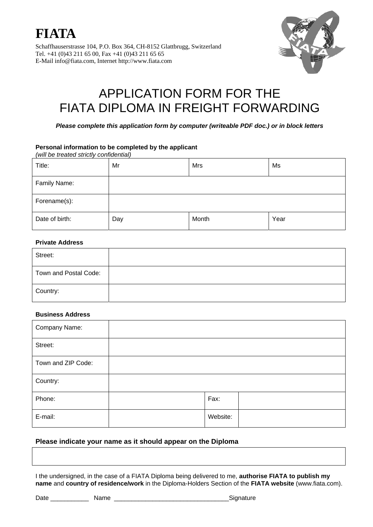



# APPLICATION FORM FOR THE FIATA DIPLOMA IN FREIGHT FORWARDING

*Please complete this application form by computer (writeable PDF doc.) or in block letters*

#### **Personal information to be completed by the applicant**

*(will be treated strictly confidential)*

| Title:         | Mr  | Mrs   | Ms   |
|----------------|-----|-------|------|
| Family Name:   |     |       |      |
| Forename(s):   |     |       |      |
| Date of birth: | Day | Month | Year |

#### **Private Address**

| Street:               |  |
|-----------------------|--|
| Town and Postal Code: |  |
| Country:              |  |

#### **Business Address**

| Company Name:      |          |  |
|--------------------|----------|--|
| Street:            |          |  |
| Town and ZIP Code: |          |  |
| Country:           |          |  |
| Phone:             | Fax:     |  |
| E-mail:            | Website: |  |

## **Please indicate your name as it should appear on the Diploma**

I the undersigned, in the case of a FIATA Diploma being delivered to me, **authorise FIATA to publish my name** and **country of residence/work** in the Diploma-Holders Section of the **FIATA website** (www.fiata.com).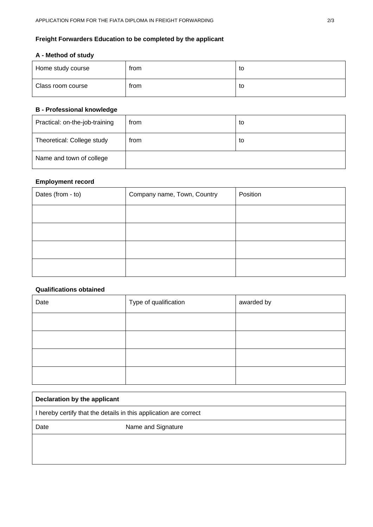# **Freight Forwarders Education to be completed by the applicant**

### **A - Method of study**

| Home study course | from | to |
|-------------------|------|----|
| Class room course | from | to |

### **B - Professional knowledge**

| Practical: on-the-job-training | from | to |
|--------------------------------|------|----|
| Theoretical: College study     | from | to |
| Name and town of college       |      |    |

### **Employment record**

| Dates (from - to) | Company name, Town, Country | Position |
|-------------------|-----------------------------|----------|
|                   |                             |          |
|                   |                             |          |
|                   |                             |          |
|                   |                             |          |

## **Qualifications obtained**

| Date | Type of qualification | awarded by |
|------|-----------------------|------------|
|      |                       |            |
|      |                       |            |
|      |                       |            |
|      |                       |            |

| Declaration by the applicant                                      |                    |  |
|-------------------------------------------------------------------|--------------------|--|
| I hereby certify that the details in this application are correct |                    |  |
| Date                                                              | Name and Signature |  |
|                                                                   |                    |  |
|                                                                   |                    |  |